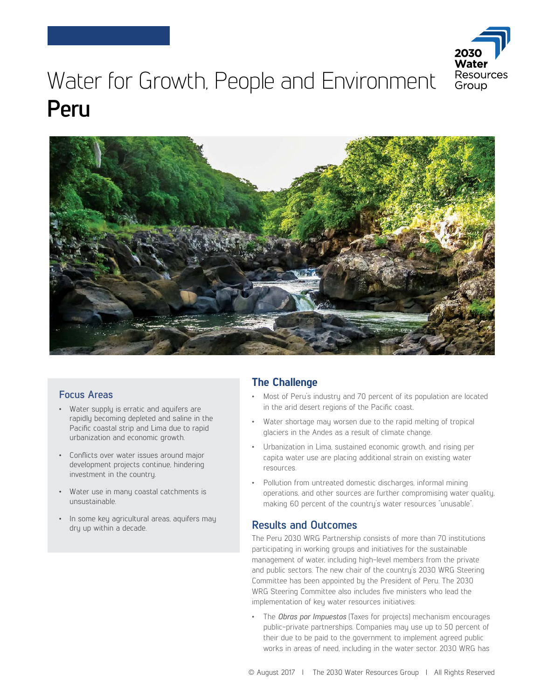

# Water for Growth, People and Environment **Peru**



#### **Focus Areas**

- Water supply is erratic and aquifers are rapidly becoming depleted and saline in the Pacific coastal strip and Lima due to rapid urbanization and economic growth.
- Conflicts over water issues around major development projects continue, hindering investment in the country.
- Water use in many coastal catchments is unsustainable.
- In some key agricultural areas, aquifers may dry up within a decade.

### **The Challenge**

- Most of Peru's industry and 70 percent of its population are located in the arid desert regions of the Pacific coast.
- Water shortage may worsen due to the rapid melting of tropical glaciers in the Andes as a result of climate change.
- Urbanization in Lima, sustained economic growth, and rising per capita water use are placing additional strain on existing water resources.
- Pollution from untreated domestic discharges, informal mining operations, and other sources are further compromising water quality, making 60 percent of the country's water resources "unusable".

#### **Results and Outcomes**

The Peru 2030 WRG Partnership consists of more than 70 institutions participating in working groups and initiatives for the sustainable management of water, including high-level members from the private and public sectors. The new chair of the country's 2030 WRG Steering Committee has been appointed by the President of Peru. The 2030 WRG Steering Committee also includes five ministers who lead the implementation of key water resources initiatives:

• The *Obras por Impuestos* (Taxes for projects) mechanism encourages public-private partnerships. Companies may use up to 50 percent of their due to be paid to the government to implement agreed public works in areas of need, including in the water sector. 2030 WRG has